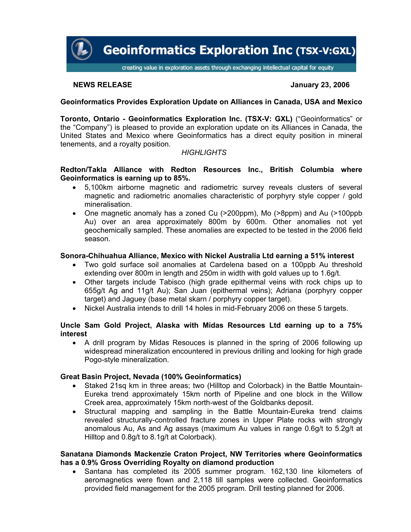

# **NEWS RELEASE January 23, 2006**

# **Geoinformatics Provides Exploration Update on Alliances in Canada, USA and Mexico**

**Toronto, Ontario - Geoinformatics Exploration Inc. (TSX-V: GXL)** ("Geoinformatics" or the "Company") is pleased to provide an exploration update on its Alliances in Canada, the United States and Mexico where Geoinformatics has a direct equity position in mineral tenements, and a royalty position.

# *HIGHLIGHTS*

## **Redton/Takla Alliance with Redton Resources Inc., British Columbia where Geoinformatics is earning up to 85%.**

- 5,100km airborne magnetic and radiometric survey reveals clusters of several magnetic and radiometric anomalies characteristic of porphyry style copper / gold mineralisation.
- One magnetic anomaly has a zoned Cu (>200ppm), Mo (>8ppm) and Au (>100ppb Au) over an area approximately 800m by 600m. Other anomalies not yet geochemically sampled. These anomalies are expected to be tested in the 2006 field season.

## **Sonora-Chihuahua Alliance, Mexico with Nickel Australia Ltd earning a 51% interest**

- Two gold surface soil anomalies at Cardelena based on a 100ppb Au threshold extending over 800m in length and 250m in width with gold values up to 1.6g/t.
- Other targets include Tabisco (high grade epithermal veins with rock chips up to 655g/t Ag and 11g/t Au); San Juan (epithermal veins); Adriana (porphyry copper target) and Jaguey (base metal skarn / porphyry copper target).
- Nickel Australia intends to drill 14 holes in mid-February 2006 on these 5 targets.

## **Uncle Sam Gold Project, Alaska with Midas Resources Ltd earning up to a 75% interest**

• A drill program by Midas Resouces is planned in the spring of 2006 following up widespread mineralization encountered in previous drilling and looking for high grade Pogo-style mineralization.

# **Great Basin Project, Nevada (100% Geoinformatics)**

- Staked 21sq km in three areas; two (Hilltop and Colorback) in the Battle Mountain-Eureka trend approximately 15km north of Pipeline and one block in the Willow Creek area, approximately 15km north-west of the Goldbanks deposit.
- Structural mapping and sampling in the Battle Mountain-Eureka trend claims revealed structurally-controlled fracture zones in Upper Plate rocks with strongly anomalous Au, As and Ag assays (maximum Au values in range 0.6g/t to 5.2g/t at Hilltop and 0.8g/t to 8.1g/t at Colorback).

### **Sanatana Diamonds Mackenzie Craton Project, NW Territories where Geoinformatics has a 0.9% Gross Overriding Royalty on diamond production**

• Santana has completed its 2005 summer program. 162,130 line kilometers of aeromagnetics were flown and 2,118 till samples were collected. Geoinformatics provided field management for the 2005 program. Drill testing planned for 2006.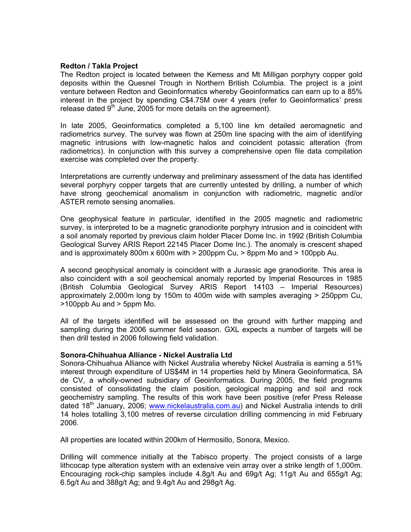### **Redton / Takla Project**

The Redton project is located between the Kemess and Mt Milligan porphyry copper gold deposits within the Quesnel Trough in Northern British Columbia. The project is a joint venture between Redton and Geoinformatics whereby Geoinformatics can earn up to a 85% interest in the project by spending C\$4.75M over 4 years (refer to Geoinformatics' press release dated  $9<sup>th</sup>$  June, 2005 for more details on the agreement).

In late 2005, Geoinformatics completed a 5,100 line km detailed aeromagnetic and radiometrics survey. The survey was flown at 250m line spacing with the aim of identifying magnetic intrusions with low-magnetic halos and coincident potassic alteration (from radiometrics). In conjunction with this survey a comprehensive open file data compilation exercise was completed over the property.

Interpretations are currently underway and preliminary assessment of the data has identified several porphyry copper targets that are currently untested by drilling, a number of which have strong geochemical anomalism in conjunction with radiometric, magnetic and/or ASTER remote sensing anomalies.

One geophysical feature in particular, identified in the 2005 magnetic and radiometric survey, is interpreted to be a magnetic granodiorite porphyry intrusion and is coincident with a soil anomaly reported by previous claim holder Placer Dome Inc. in 1992 (British Columbia Geological Survey ARIS Report 22145 Placer Dome Inc.). The anomaly is crescent shaped and is approximately 800m x 600m with > 200ppm Cu, > 8ppm Mo and > 100ppb Au.

A second geophysical anomaly is coincident with a Jurassic age granodiorite. This area is also coincident with a soil geochemical anomaly reported by Imperial Resources in 1985 (British Columbia Geological Survey ARIS Report 14103 – Imperial Resources) approximately 2,000m long by 150m to 400m wide with samples averaging > 250ppm Cu, >100ppb Au and > 5ppm Mo.

All of the targets identified will be assessed on the ground with further mapping and sampling during the 2006 summer field season. GXL expects a number of targets will be then drill tested in 2006 following field validation.

### **Sonora-Chihuahua Alliance - Nickel Australia Ltd**

Sonora-Chihuahua Alliance with Nickel Australia whereby Nickel Australia is earning a 51% interest through expenditure of US\$4M in 14 properties held by Minera Geoinformatica, SA de CV, a wholly-owned subsidiary of Geoinformatics. During 2005, the field programs consisted of consolidating the claim position, geological mapping and soil and rock geochemistry sampling. The results of this work have been positive (refer Press Release dated 18<sup>th</sup> January, 2006; [www.nickelaustralia.com.au\)](http://www.nickelaustralia.com.au/) and Nickel Australia intends to drill 14 holes totalling 3,100 metres of reverse circulation drilling commencing in mid February 2006.

All properties are located within 200km of Hermosillo, Sonora, Mexico.

Drilling will commence initially at the Tabisco property. The project consists of a large lithcocap type alteration system with an extensive vein array over a strike length of 1,000m. Encouraging rock-chip samples include 4.8g/t Au and 69g/t Ag; 11g/t Au and 655g/t Ag; 6.5g/t Au and 388g/t Ag; and 9.4g/t Au and 298g/t Ag.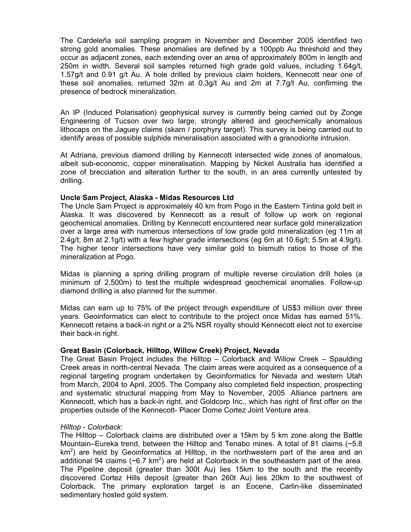The Cardeleña soil sampling program in November and December 2005 identified two strong gold anomalies. These anomalies are defined by a 100ppb Au threshold and they occur as adjacent zones, each extending over an area of approximately 800m in length and 250m in width. Several soil samples returned high grade gold values, including 1.64g/t, 1.57g/t and 0.91 g/t Au. A hole drilled by previous claim holders, Kennecott near one of these soil anomalies, returned 32m at 0.3g/t Au and 2m at 7.7g/t Au, confirming the presence of bedrock mineralization.

An IP (Induced Polarisation) geophysical survey is currently being carried out by Zonge Engineering of Tucson over two large, strongly altered and geochemically anomalous lithocaps on the Jaguey claims (skarn / porphyry target). This survey is being carried out to identify areas of possible sulphide mineralisation associated with a granodiorite intrusion.

At Adriana, previous diamond drilling by Kennecott intersected wide zones of anomalous, albeit sub-economic, copper mineralisation. Mapping by Nickel Australia has identified a zone of brecciation and alteration further to the south, in an area currently untested by drilling.

#### **Uncle Sam Project, Alaska - Midas Resources Ltd**

The Uncle Sam Project is approximately 40 km from Pogo in the Eastern Tintina gold belt in Alaska. It was discovered by Kennecott as a result of follow up work on regional geochemical anomalies. Drilling by Kennecott encountered near surface gold mineralization over a large area with numerous intersections of low grade gold mineralization (eg 11m at 2.4g/t; 8m at 2.1g/t) with a few higher grade intersections (eg 6m at 10.6g/t; 5.5m at 4.9g/t). The higher tenor intersections have very similar gold to bismuth ratios to those of the mineralization at Pogo.

Midas is planning a spring drilling program of multiple reverse circulation drill holes (a minimum of 2,500m) to test the multiple widespread geochemical anomalies. Follow-up diamond drilling is also planned for the summer.

Midas can earn up to 75% of the project through expenditure of US\$3 million over three years. Geoinformatics can elect to contribute to the project once Midas has earned 51%. Kennecott retains a back-in right or a 2% NSR royalty should Kennecott elect not to exercise their back-in right.

### **Great Basin (Colorback, Hilltop, Willow Creek) Project, Nevada**

The Great Basin Project includes the Hilltop – Colorback and Willow Creek – Spaulding Creek areas in north-central Nevada. The claim areas were acquired as a consequence of a regional targeting program undertaken by Geoinformatics for Nevada and western Utah from March, 2004 to April, 2005. The Company also completed field inspection, prospecting and systematic structural mapping from May to November, 2005. Alliance partners are Kennecott, which has a back-in right, and Goldcorp Inc., which has right of first offer on the properties outside of the Kennecott- Placer Dome Cortez Joint Venture area.

### *Hilltop* - *Colorback*:

The Hilltop – Colorback claims are distributed over a 15km by 5 km zone along the Battle Mountain–Eureka trend, between the Hilltop and Tenabo mines. A total of 81 claims (~5.8  $km<sup>2</sup>$ ) are held by Geoinformatics at Hilltop, in the northwestern part of the area and an additional 94 claims ( $\sim$ 6.7 km<sup>2</sup>) are held at Colorback in the southeastern part of the area. The Pipeline deposit (greater than 300t Au) lies 15km to the south and the recently discovered Cortez Hills deposit (greater than 260t Au) lies 20km to the southwest of Colorback. The primary exploration target is an Eocene, Carlin-like disseminated sedimentary hosted gold system.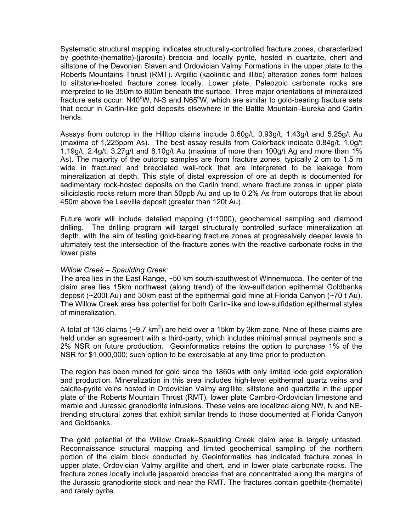Systematic structural mapping indicates structurally-controlled fracture zones, characterized by goethite-(hematite)-(jarosite) breccia and locally pyrite, hosted in quartzite, chert and siltstone of the Devonian Slaven and Ordovician Valmy Formations in the upper plate to the Roberts Mountains Thrust (RMT). Argillic (kaolinitic and illitic) alteration zones form haloes to siltstone-hosted fracture zones locally. Lower plate, Paleozoic carbonate rocks are interpreted to lie 350m to 800m beneath the surface. Three major orientations of mineralized fracture sets occur: N40°W, N-S and N65°W, which are similar to gold-bearing fracture sets that occur in Carlin-like gold deposits elsewhere in the Battle Mountain–Eureka and Carlin trends.

Assays from outcrop in the Hilltop claims include 0.60g/t, 0.93g/t, 1.43g/t and 5.25g/t Au (maxima of 1,225ppm As). The best assay results from Colorback indicate 0.84g/t, 1.0g/t 1.19g/t, 2.4g/t, 3.27g/t and 8.10g/t Au (maxima of more than 100g/t Ag and more than 1% As). The majority of the outcrop samples are from fracture zones, typically 2 cm to 1.5 m wide in fractured and brecciated wall-rock that are interpreted to be leakage from mineralization at depth. This style of distal expression of ore at depth is documented for sedimentary rock-hosted deposits on the Carlin trend, where fracture zones in upper plate siliciclastic rocks return more than 50ppb Au and up to 0.2% As from outcrops that lie about 450m above the Leeville deposit (greater than 120t Au).

Future work will include detailed mapping (1:1000), geochemical sampling and diamond drilling. The drilling program will target structurally controlled surface mineralization at depth, with the aim of testing gold-bearing fracture zones at progressively deeper levels to ultimately test the intersection of the fracture zones with the reactive carbonate rocks in the lower plate.

### *Willow Creek* – *Spaulding Creek:*

The area lies in the East Range, ~50 km south-southwest of Winnemucca. The center of the claim area lies 15km northwest (along trend) of the low-sulfidation epithermal Goldbanks deposit (~200t Au) and 30km east of the epithermal gold mine at Florida Canyon (~70 t Au). The Willow Creek area has potential for both Carlin-like and low-sulfidation epithermal styles of mineralization.

A total of 136 claims ( $\sim$ 9.7 km<sup>2</sup>) are held over a 15km by 3km zone. Nine of these claims are held under an agreement with a third-party, which includes minimal annual payments and a 2% NSR on future production. Geoinformatics retains the option to purchase 1% of the NSR for \$1,000,000; such option to be exercisable at any time prior to production.

The region has been mined for gold since the 1860s with only limited lode gold exploration and production. Mineralization in this area includes high-level epithermal quartz veins and calcite-pyrite veins hosted in Ordovician Valmy argillite, siltstone and quartzite in the upper plate of the Roberts Mountain Thrust (RMT), lower plate Cambro-Ordovician limestone and marble and Jurassic granodiorite intrusions. These veins are localized along NW, N and NEtrending structural zones that exhibit similar trends to those documented at Florida Canyon and Goldbanks.

The gold potential of the Willow Creek–Spaulding Creek claim area is largely untested. Reconnaissance structural mapping and limited geochemical sampling of the northern portion of the claim block conducted by Geoinformatics has indicated fracture zones in upper plate, Ordovician Valmy argillite and chert, and in lower plate carbonate rocks. The fracture zones locally include jasperoid breccias that are concentrated along the margins of the Jurassic granodiorite stock and near the RMT. The fractures contain goethite-(hematite) and rarely pyrite.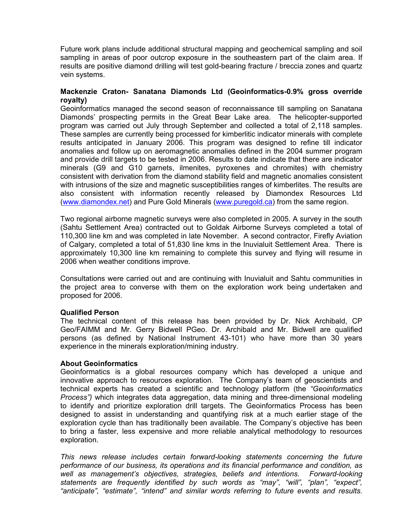Future work plans include additional structural mapping and geochemical sampling and soil sampling in areas of poor outcrop exposure in the southeastern part of the claim area. If results are positive diamond drilling will test gold-bearing fracture / breccia zones and quartz vein systems.

## **Mackenzie Craton- Sanatana Diamonds Ltd (Geoinformatics-0.9% gross override royalty)**

Geoinformatics managed the second season of reconnaissance till sampling on Sanatana Diamonds' prospecting permits in the Great Bear Lake area. The helicopter-supported program was carried out July through September and collected a total of 2,118 samples. These samples are currently being processed for kimberlitic indicator minerals with complete results anticipated in January 2006. This program was designed to refine till indicator anomalies and follow up on aeromagnetic anomalies defined in the 2004 summer program and provide drill targets to be tested in 2006. Results to date indicate that there are indicator minerals (G9 and G10 garnets, ilmenites, pyroxenes and chromites) with chemistry consistent with derivation from the diamond stability field and magnetic anomalies consistent with intrusions of the size and magnetic susceptibilities ranges of kimberlites. The results are also consistent with information recently released by Diamondex Resources Ltd ([www.diamondex.net\)](http://www.diamondex.net/) and Pure Gold Minerals ([www.puregold.ca](http://www.puregold.ca/)) from the same region.

Two regional airborne magnetic surveys were also completed in 2005. A survey in the south (Sahtu Settlement Area) contracted out to Goldak Airborne Surveys completed a total of 110,300 line km and was completed in late November. A second contractor, Firefly Aviation of Calgary, completed a total of 51,830 line kms in the Inuvialuit Settlement Area. There is approximately 10,300 line km remaining to complete this survey and flying will resume in 2006 when weather conditions improve.

Consultations were carried out and are continuing with Inuvialuit and Sahtu communities in the project area to converse with them on the exploration work being undertaken and proposed for 2006.

### **Qualified Person**

The technical content of this release has been provided by Dr. Nick Archibald, CP Geo/FAIMM and Mr. Gerry Bidwell PGeo. Dr. Archibald and Mr. Bidwell are qualified persons (as defined by National Instrument 43-101) who have more than 30 years experience in the minerals exploration/mining industry.

### **About Geoinformatics**

Geoinformatics is a global resources company which has developed a unique and innovative approach to resources exploration. The Company's team of geoscientists and technical experts has created a scientific and technology platform (the *"Geoinformatics Process")* which integrates data aggregation, data mining and three-dimensional modeling to identify and prioritize exploration drill targets. The Geoinformatics Process has been designed to assist in understanding and quantifying risk at a much earlier stage of the exploration cycle than has traditionally been available. The Company's objective has been to bring a faster, less expensive and more reliable analytical methodology to resources exploration.

*This news release includes certain forward-looking statements concerning the future performance of our business, its operations and its financial performance and condition, as well as management's objectives, strategies, beliefs and intentions. Forward-looking statements are frequently identified by such words as "may", "will", "plan", "expect", "anticipate", "estimate", "intend" and similar words referring to future events and results.*